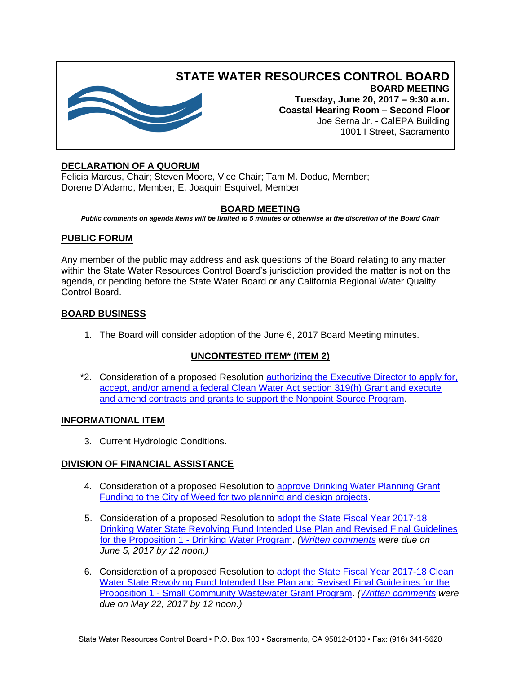

# **DECLARATION OF A QUORUM**

Felicia Marcus, Chair; Steven Moore, Vice Chair; Tam M. Doduc, Member; Dorene D'Adamo, Member; E. Joaquin Esquivel, Member

### **BOARD MEETING**

*Public comments on agenda items will be limited to 5 minutes or otherwise at the discretion of the Board Chair*

### **PUBLIC FORUM**

Any member of the public may address and ask questions of the Board relating to any matter within the State Water Resources Control Board's jurisdiction provided the matter is not on the agenda, or pending before the State Water Board or any California Regional Water Quality Control Board.

### **BOARD BUSINESS**

1. The Board will consider adoption of the June 6, 2017 Board Meeting minutes.

### **UNCONTESTED ITEM\* (ITEM 2)**

\*2. Consideration of a proposed Resolution [authorizing the Executive Director to apply for,](http://www.waterboards.ca.gov/board_info/agendas/2017/jun/062017_2.pdf)  [accept, and/or amend a federal Clean Water Act](http://www.waterboards.ca.gov/board_info/agendas/2017/jun/062017_2.pdf) section 319(h) Grant and execute [and amend contracts and grants to support the Nonpoint Source Program.](http://www.waterboards.ca.gov/board_info/agendas/2017/jun/062017_2.pdf)

### **INFORMATIONAL ITEM**

3. Current Hydrologic Conditions.

### **DIVISION OF FINANCIAL ASSISTANCE**

- 4. Consideration of a proposed Resolution to approve Drinking Water Planning Grant Funding to the City of Weed [for two planning and design projects.](http://www.waterboards.ca.gov/board_info/agendas/2017/jun/062017_4.pdf)
- 5. Consideration of a proposed Resolution to [adopt the State Fiscal Year 2017-18](http://www.waterboards.ca.gov/board_info/agendas/2017/jun/062017_5.pdf)  [Drinking Water State Revolving Fund Intended Use Plan and Revised Final Guidelines](http://www.waterboards.ca.gov/board_info/agendas/2017/jun/062017_5.pdf)  for the Proposition 1 - [Drinking Water Program.](http://www.waterboards.ca.gov/board_info/agendas/2017/jun/062017_5.pdf) *[\(Written comments](https://www.waterboards.ca.gov/public_notices/comments/dwsrf_iup_2017/) were due on June 5, 2017 by 12 noon.)*
- 6. Consideration of a proposed Resolution to adopt the State Fiscal Year 2017-18 Clean Water State Revolving Fund Intended Use Plan and Revised Final Guidelines for the Proposition 1 - [Small Community Wastewater Grant Program.](http://www.waterboards.ca.gov/board_info/agendas/2017/jun/062017_6.pdf) *[\(Written comments](https://www.waterboards.ca.gov/water_issues/programs/grants_loans/srf/docs/cwsrf/2017iup/comments_052217/index.shtml) were due on May 22, 2017 by 12 noon.)*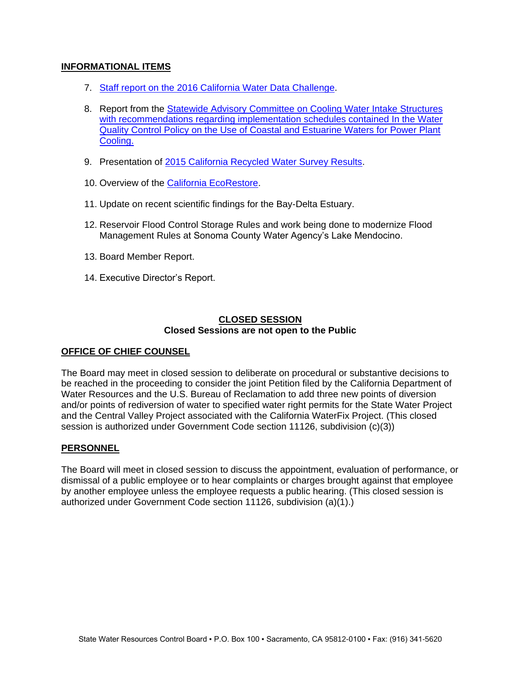# **INFORMATIONAL ITEMS**

- 7. [Staff report on the 2016 California Water Data Challenge.](http://www.waterboards.ca.gov/board_info/agendas/2017/jun/062017_7.pdf)
- 8. Report from the [Statewide Advisory Committee on Cooling Water Intake Structures](http://www.waterboards.ca.gov/board_info/agendas/2017/jun/062017_8.pdf)  with recommendations regarding implementation schedules contained In the Water [Quality Control Policy on the Use of Coastal and Estuarine Waters for Power Plant](http://www.waterboards.ca.gov/board_info/agendas/2017/jun/062017_8.pdf)  [Cooling.](http://www.waterboards.ca.gov/board_info/agendas/2017/jun/062017_8.pdf)
- 9. Presentation of [2015 California Recycled Water Survey Results.](http://www.waterboards.ca.gov/board_info/agendas/2017/jun/062017_9.pdf)
- 10. Overview of the [California EcoRestore.](http://www.waterboards.ca.gov/board_info/agendas/2017/jun/062017_10.pdf)
- 11. Update on recent scientific findings for the Bay-Delta Estuary.
- 12. Reservoir Flood Control Storage Rules and work being done to modernize Flood Management Rules at Sonoma County Water Agency's Lake Mendocino.
- 13. Board Member Report.
- 14. Executive Director's Report.

## **CLOSED SESSION Closed Sessions are not open to the Public**

### **OFFICE OF CHIEF COUNSEL**

The Board may meet in closed session to deliberate on procedural or substantive decisions to be reached in the proceeding to consider the joint Petition filed by the California Department of Water Resources and the U.S. Bureau of Reclamation to add three new points of diversion and/or points of rediversion of water to specified water right permits for the State Water Project and the Central Valley Project associated with the California WaterFix Project. (This closed session is authorized under Government Code section 11126, subdivision (c)(3))

### **PERSONNEL**

The Board will meet in closed session to discuss the appointment, evaluation of performance, or dismissal of a public employee or to hear complaints or charges brought against that employee by another employee unless the employee requests a public hearing. (This closed session is authorized under Government Code section 11126, subdivision (a)(1).)